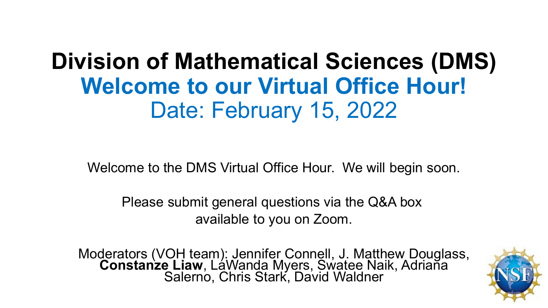## **Division of Mathematical Sciences (DMS) Welcome to our Virtual Office Hour!** Date: February 15, 2022

Welcome to the DMS Virtual Office Hour. We will begin soon.

Please submit general questions via the Q&A box available to you on Zoom.

Moderators (VOH team): Jennifer Connell, J. Matthew Douglass, **Constanze Liaw**, LaWanda Myers, Swatee Naik, Adriana Salerno, Chris Stark, David Waldner

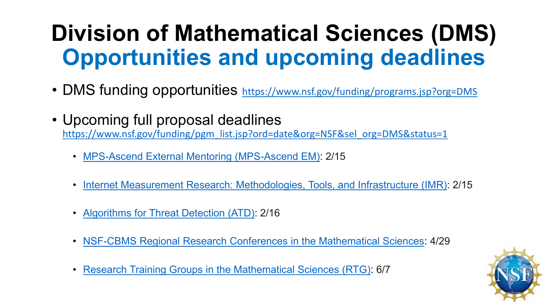# **Division of Mathematical Sciences (DMS) Opportunities and upcoming deadlines**

- DMS funding opportunities <https://www.nsf.gov/funding/programs.jsp?org=DMS>
- Upcoming full proposal deadlines [https://www.nsf.gov/funding/pgm\\_list.jsp?ord=date&org=NSF&sel\\_org=DMS&status=1](https://www.nsf.gov/funding/pgm_list.jsp?ord=date&org=NSF&sel_org=DMS&status=1)
	- [MPS-Ascend External Mentoring \(MPS-Ascend EM\):](https://beta.nsf.gov/funding/opportunities/mps-ascend-external-mentoring-mps-ascend-em) 2/15
	- [Internet Measurement Research: Methodologies, Tools, and Infrastructure \(IMR\)](https://beta.nsf.gov/funding/opportunities/internet-measurement-research-methodologies-tools-and-infrastructure-imr): 2/15
	- [Algorithms for Threat Detection \(ATD\):](https://beta.nsf.gov/funding/opportunities/algorithms-threat-detection-atd) 2/16
	- [NSF-CBMS Regional Research Conferences in the Mathematical Sciences](https://beta.nsf.gov/funding/opportunities/nsf-cbms-regional-research-conferences-mathematical-sciences): 4/29
	- [Research Training Groups in the Mathematical Sciences \(RTG\)](https://beta.nsf.gov/funding/opportunities/research-training-groups-mathematical-sciences-rtg): 6/7

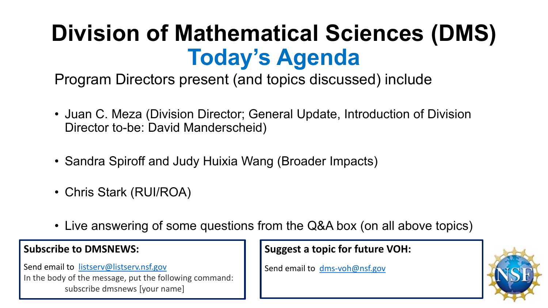# **Division of Mathematical Sciences (DMS) Today's Agenda**

Program Directors present (and topics discussed) include

- Juan C. Meza (Division Director; General Update, Introduction of Division Director to-be: David Manderscheid)
- Sandra Spiroff and Judy Huixia Wang (Broader Impacts)
- Chris Stark (RUI/ROA)
- Live answering of some questions from the Q&A box (on all above topics)

#### **Subscribe to DMSNEWS:**

Send email to [listserv@listserv.nsf.gov](mailto:listserv@listserv.nsf.gov) In the body of the message, put the following command: subscribe dmsnews [your name]

**Suggest a topic for future VOH:**

Send email to [dms-voh@nsf.gov](mailto:dms-voh@nsf.gov)

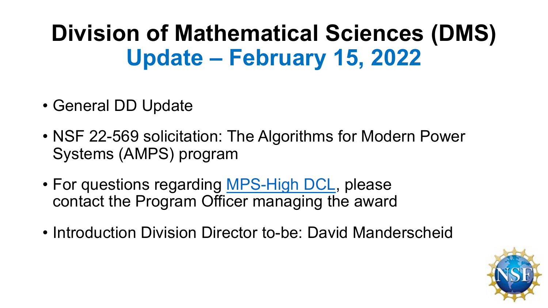# **Division of Mathematical Sciences (DMS) Update – February 15, 2022**

- General DD Update
- NSF 22-569 solicitation: The Algorithms for Modern Power Systems (AMPS) program
- For questions regarding [MPS-High DCL](https://beta.nsf.gov/funding/opportunities/high-school-student-research-assistantships-mps-high-funding-broaden), please contact the Program Officer managing the award
- Introduction Division Director to-be: David Manderscheid

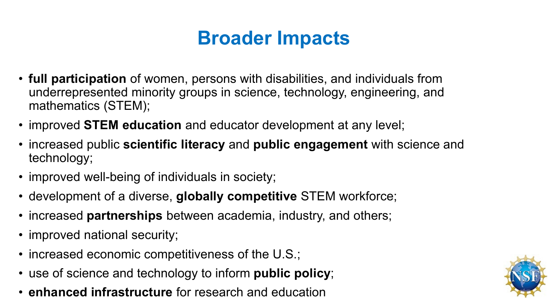## **Broader Impacts**

- **full participation** of women, persons with disabilities, and individuals from underrepresented minority groups in science, technology, engineering, and mathematics (STEM);
- improved **STEM education** and educator development at any level;
- increased public **scientific literacy** and **public engagement** with science and technology;
- improved well-being of individuals in society;
- development of a diverse, **globally competitive** STEM workforce;
- increased **partnerships** between academia, industry, and others;
- improved national security;
- increased economic competitiveness of the U.S.;
- use of science and technology to inform **public policy**;
- **enhanced infrastructure** for research and education

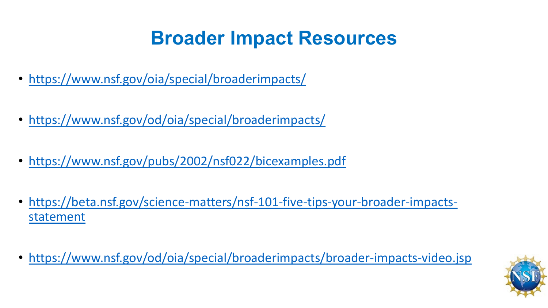## **Broader Impact Resources**

- <https://www.nsf.gov/oia/special/broaderimpacts/>
- <https://www.nsf.gov/od/oia/special/broaderimpacts/>
- <https://www.nsf.gov/pubs/2002/nsf022/bicexamples.pdf>
- [https://beta.nsf.gov/science-matters/nsf-101-five-tips-your-broader-impacts](https://beta.nsf.gov/science-matters/nsf-101-five-tips-your-broader-impacts-statement)statement
- <https://www.nsf.gov/od/oia/special/broaderimpacts/broader-impacts-video.jsp>

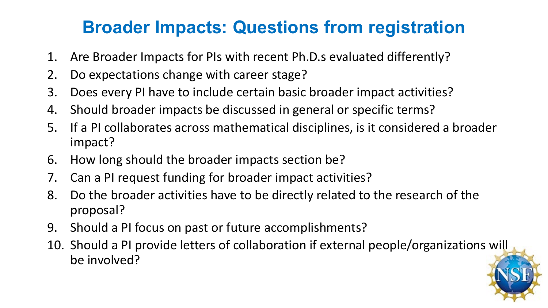### **Broader Impacts: Questions from registration**

- 1. Are Broader Impacts for PIs with recent Ph.D.s evaluated differently?
- 2. Do expectations change with career stage?
- 3. Does every PI have to include certain basic broader impact activities?
- 4. Should broader impacts be discussed in general or specific terms?
- 5. If a PI collaborates across mathematical disciplines, is it considered a broader impact?
- 6. How long should the broader impacts section be?
- 7. Can a PI request funding for broader impact activities?
- 8. Do the broader activities have to be directly related to the research of the proposal?
- 9. Should a PI focus on past or future accomplishments?
- 10. Should a PI provide letters of collaboration if external people/organizations will be involved?

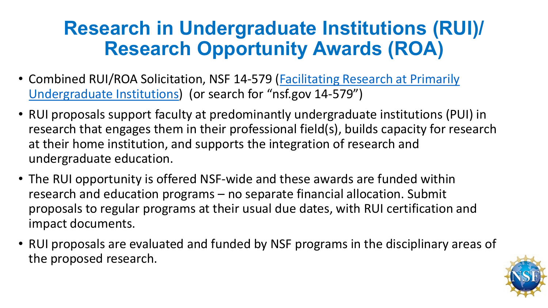### **Research in Undergraduate Institutions (RUI)/ Research Opportunity Awards (ROA)**

- Combined RUI/ROA Solicitation, NSF 14-579 (Facilitating Research at Primarily Undergraduate Institutions) (or search for "nsf.gov 14-579")
- RUI proposals support faculty at predominantly undergraduate institutions (PUI) in research that engages them in their professional field(s), builds capacity for research at their home institution, and supports the integration of research and undergraduate education.
- The RUI opportunity is offered NSF-wide and these awards are funded within research and education programs – no separate financial allocation. Submit proposals to regular programs at their usual due dates, with RUI certification and impact documents.
- RUI proposals are evaluated and funded by NSF programs in the disciplinary areas of the proposed research.

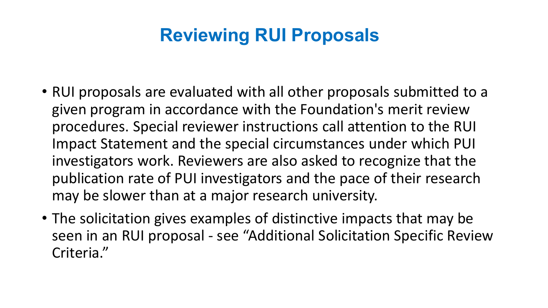### **Reviewing RUI Proposals**

- RUI proposals are evaluated with all other proposals submitted to a given program in accordance with the Foundation's merit review procedures. Special reviewer instructions call attention to the RUI Impact Statement and the special circumstances under which PUI investigators work. Reviewers are also asked to recognize that the publication rate of PUI investigators and the pace of their research may be slower than at a major research university.
- The solicitation gives examples of distinctive impacts that may be seen in an RUI proposal - see "Additional Solicitation Specific Review Criteria."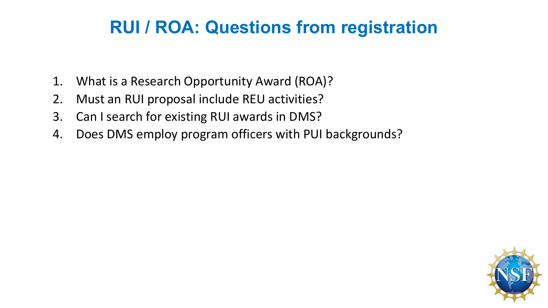### **RUI / ROA: Questions from registration**

- 1. What is a Research Opportunity Award (ROA)?
- 2. Must an RUI proposal include REU activities?
- 3. Can I search for existing RUI awards in DMS?
- 4. Does DMS employ program officers with PUI backgrounds?

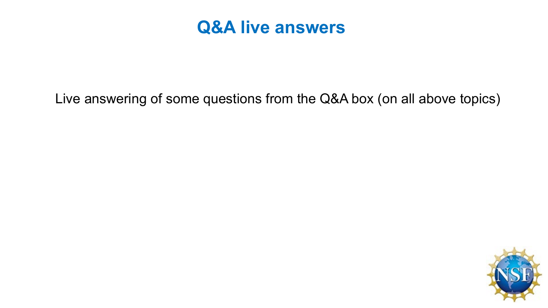

#### Live answering of some questions from the Q&A box (on all above topics)